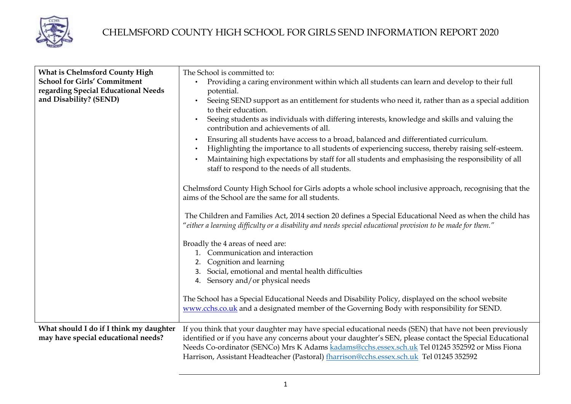

| <b>What is Chelmsford County High</b><br><b>School for Girls' Commitment</b><br>regarding Special Educational Needs<br>and Disability? (SEND) | The School is committed to:<br>Providing a caring environment within which all students can learn and develop to their full<br>$\bullet$<br>potential.<br>Seeing SEND support as an entitlement for students who need it, rather than as a special addition<br>to their education.<br>Seeing students as individuals with differing interests, knowledge and skills and valuing the<br>contribution and achievements of all.<br>Ensuring all students have access to a broad, balanced and differentiated curriculum.<br>Highlighting the importance to all students of experiencing success, thereby raising self-esteem.<br>Maintaining high expectations by staff for all students and emphasising the responsibility of all<br>staff to respond to the needs of all students. |
|-----------------------------------------------------------------------------------------------------------------------------------------------|-----------------------------------------------------------------------------------------------------------------------------------------------------------------------------------------------------------------------------------------------------------------------------------------------------------------------------------------------------------------------------------------------------------------------------------------------------------------------------------------------------------------------------------------------------------------------------------------------------------------------------------------------------------------------------------------------------------------------------------------------------------------------------------|
|                                                                                                                                               | Chelmsford County High School for Girls adopts a whole school inclusive approach, recognising that the<br>aims of the School are the same for all students.<br>The Children and Families Act, 2014 section 20 defines a Special Educational Need as when the child has                                                                                                                                                                                                                                                                                                                                                                                                                                                                                                            |
|                                                                                                                                               | "either a learning difficulty or a disability and needs special educational provision to be made for them."                                                                                                                                                                                                                                                                                                                                                                                                                                                                                                                                                                                                                                                                       |
|                                                                                                                                               | Broadly the 4 areas of need are:<br>1. Communication and interaction<br>Cognition and learning<br>3. Social, emotional and mental health difficulties<br>4. Sensory and/or physical needs                                                                                                                                                                                                                                                                                                                                                                                                                                                                                                                                                                                         |
|                                                                                                                                               | The School has a Special Educational Needs and Disability Policy, displayed on the school website<br>www.cchs.co.uk and a designated member of the Governing Body with responsibility for SEND.                                                                                                                                                                                                                                                                                                                                                                                                                                                                                                                                                                                   |
| What should I do if I think my daughter<br>may have special educational needs?                                                                | If you think that your daughter may have special educational needs (SEN) that have not been previously<br>identified or if you have any concerns about your daughter's SEN, please contact the Special Educational<br>Needs Co-ordinator (SENCo) Mrs K Adams kadams@cchs.essex.sch.uk Tel 01245 352592 or Miss Fiona<br>Harrison, Assistant Headteacher (Pastoral) fharrison@cchs.essex.sch.uk Tel 01245 352592                                                                                                                                                                                                                                                                                                                                                                   |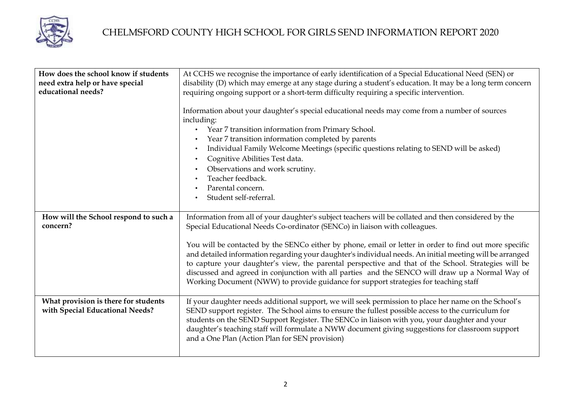

| How does the school know if students<br>need extra help or have special | At CCHS we recognise the importance of early identification of a Special Educational Need (SEN) or<br>disability (D) which may emerge at any stage during a student's education. It may be a long term concern                                                                                                                                                                                                                                                                                                        |
|-------------------------------------------------------------------------|-----------------------------------------------------------------------------------------------------------------------------------------------------------------------------------------------------------------------------------------------------------------------------------------------------------------------------------------------------------------------------------------------------------------------------------------------------------------------------------------------------------------------|
| educational needs?                                                      | requiring ongoing support or a short-term difficulty requiring a specific intervention.                                                                                                                                                                                                                                                                                                                                                                                                                               |
|                                                                         | Information about your daughter's special educational needs may come from a number of sources<br>including:<br>Year 7 transition information from Primary School.<br>Year 7 transition information completed by parents<br>Individual Family Welcome Meetings (specific questions relating to SEND will be asked)<br>Cognitive Abilities Test data.<br>Observations and work scrutiny.<br>Teacher feedback.<br>Parental concern.<br>Student self-referral.                                                            |
| How will the School respond to such a<br>concern?                       | Information from all of your daughter's subject teachers will be collated and then considered by the<br>Special Educational Needs Co-ordinator (SENCo) in liaison with colleagues.                                                                                                                                                                                                                                                                                                                                    |
|                                                                         |                                                                                                                                                                                                                                                                                                                                                                                                                                                                                                                       |
|                                                                         | You will be contacted by the SENCo either by phone, email or letter in order to find out more specific<br>and detailed information regarding your daughter's individual needs. An initial meeting will be arranged<br>to capture your daughter's view, the parental perspective and that of the School. Strategies will be<br>discussed and agreed in conjunction with all parties and the SENCO will draw up a Normal Way of<br>Working Document (NWW) to provide guidance for support strategies for teaching staff |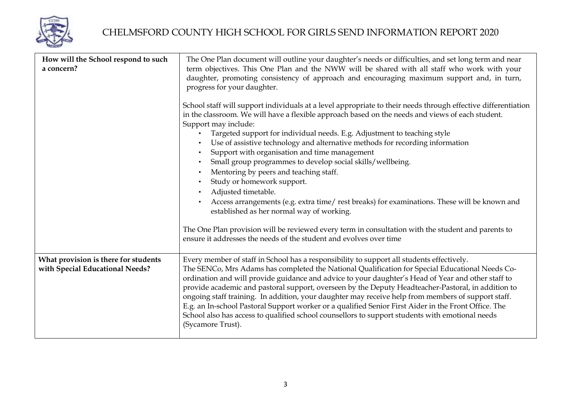

| How will the School respond to such<br>a concern?                       | The One Plan document will outline your daughter's needs or difficulties, and set long term and near<br>term objectives. This One Plan and the NWW will be shared with all staff who work with your<br>daughter, promoting consistency of approach and encouraging maximum support and, in turn,<br>progress for your daughter.                                                                                                                                                                                                                                                                                                                                                                                                                                                      |
|-------------------------------------------------------------------------|--------------------------------------------------------------------------------------------------------------------------------------------------------------------------------------------------------------------------------------------------------------------------------------------------------------------------------------------------------------------------------------------------------------------------------------------------------------------------------------------------------------------------------------------------------------------------------------------------------------------------------------------------------------------------------------------------------------------------------------------------------------------------------------|
|                                                                         | School staff will support individuals at a level appropriate to their needs through effective differentiation<br>in the classroom. We will have a flexible approach based on the needs and views of each student.<br>Support may include:<br>Targeted support for individual needs. E.g. Adjustment to teaching style<br>Use of assistive technology and alternative methods for recording information<br>Support with organisation and time management<br>$\bullet$<br>Small group programmes to develop social skills/wellbeing.<br>$\bullet$<br>Mentoring by peers and teaching staff.<br>$\bullet$<br>Study or homework support.<br>$\bullet$<br>Adjusted timetable.<br>$\bullet$<br>Access arrangements (e.g. extra time/rest breaks) for examinations. These will be known and |
|                                                                         | established as her normal way of working.<br>The One Plan provision will be reviewed every term in consultation with the student and parents to<br>ensure it addresses the needs of the student and evolves over time                                                                                                                                                                                                                                                                                                                                                                                                                                                                                                                                                                |
| What provision is there for students<br>with Special Educational Needs? | Every member of staff in School has a responsibility to support all students effectively.<br>The SENCo, Mrs Adams has completed the National Qualification for Special Educational Needs Co-<br>ordination and will provide guidance and advice to your daughter's Head of Year and other staff to<br>provide academic and pastoral support, overseen by the Deputy Headteacher-Pastoral, in addition to<br>ongoing staff training. In addition, your daughter may receive help from members of support staff.<br>E.g. an In-school Pastoral Support worker or a qualified Senior First Aider in the Front Office. The<br>School also has access to qualified school counsellors to support students with emotional needs<br>(Sycamore Trust).                                       |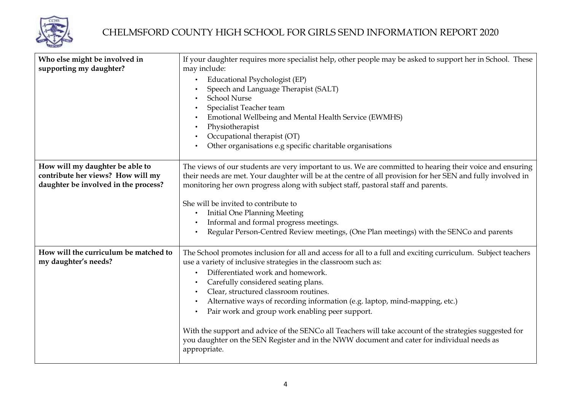

| Who else might be involved in<br>supporting my daughter?                                                     | If your daughter requires more specialist help, other people may be asked to support her in School. These<br>may include:<br>Educational Psychologist (EP)<br>Speech and Language Therapist (SALT)<br><b>School Nurse</b><br>Specialist Teacher team<br>Emotional Wellbeing and Mental Health Service (EWMHS)<br>Physiotherapist<br>Occupational therapist (OT)<br>Other organisations e.g specific charitable organisations |
|--------------------------------------------------------------------------------------------------------------|------------------------------------------------------------------------------------------------------------------------------------------------------------------------------------------------------------------------------------------------------------------------------------------------------------------------------------------------------------------------------------------------------------------------------|
| How will my daughter be able to<br>contribute her views? How will my<br>daughter be involved in the process? | The views of our students are very important to us. We are committed to hearing their voice and ensuring<br>their needs are met. Your daughter will be at the centre of all provision for her SEN and fully involved in<br>monitoring her own progress along with subject staff, pastoral staff and parents.                                                                                                                 |
|                                                                                                              | She will be invited to contribute to<br><b>Initial One Planning Meeting</b>                                                                                                                                                                                                                                                                                                                                                  |
|                                                                                                              | Informal and formal progress meetings.                                                                                                                                                                                                                                                                                                                                                                                       |
|                                                                                                              | Regular Person-Centred Review meetings, (One Plan meetings) with the SENCo and parents                                                                                                                                                                                                                                                                                                                                       |
| How will the curriculum be matched to<br>my daughter's needs?                                                | The School promotes inclusion for all and access for all to a full and exciting curriculum. Subject teachers<br>use a variety of inclusive strategies in the classroom such as:                                                                                                                                                                                                                                              |
|                                                                                                              | Differentiated work and homework.                                                                                                                                                                                                                                                                                                                                                                                            |
|                                                                                                              | Carefully considered seating plans.                                                                                                                                                                                                                                                                                                                                                                                          |
|                                                                                                              | Clear, structured classroom routines.                                                                                                                                                                                                                                                                                                                                                                                        |
|                                                                                                              | Alternative ways of recording information (e.g. laptop, mind-mapping, etc.)                                                                                                                                                                                                                                                                                                                                                  |
|                                                                                                              | Pair work and group work enabling peer support.                                                                                                                                                                                                                                                                                                                                                                              |
|                                                                                                              | With the support and advice of the SENCo all Teachers will take account of the strategies suggested for<br>you daughter on the SEN Register and in the NWW document and cater for individual needs as<br>appropriate.                                                                                                                                                                                                        |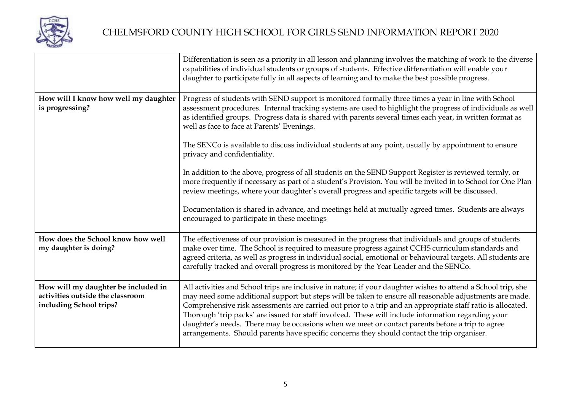

|                                                                                                    | Differentiation is seen as a priority in all lesson and planning involves the matching of work to the diverse<br>capabilities of individual students or groups of students. Effective differentiation will enable your<br>daughter to participate fully in all aspects of learning and to make the best possible progress.                                                                                                                                                                                                                                                                                                                      |
|----------------------------------------------------------------------------------------------------|-------------------------------------------------------------------------------------------------------------------------------------------------------------------------------------------------------------------------------------------------------------------------------------------------------------------------------------------------------------------------------------------------------------------------------------------------------------------------------------------------------------------------------------------------------------------------------------------------------------------------------------------------|
| How will I know how well my daughter<br>is progressing?                                            | Progress of students with SEND support is monitored formally three times a year in line with School<br>assessment procedures. Internal tracking systems are used to highlight the progress of individuals as well<br>as identified groups. Progress data is shared with parents several times each year, in written format as<br>well as face to face at Parents' Evenings.                                                                                                                                                                                                                                                                     |
|                                                                                                    | The SENCo is available to discuss individual students at any point, usually by appointment to ensure<br>privacy and confidentiality.                                                                                                                                                                                                                                                                                                                                                                                                                                                                                                            |
|                                                                                                    | In addition to the above, progress of all students on the SEND Support Register is reviewed termly, or<br>more frequently if necessary as part of a student's Provision. You will be invited in to School for One Plan<br>review meetings, where your daughter's overall progress and specific targets will be discussed.                                                                                                                                                                                                                                                                                                                       |
|                                                                                                    | Documentation is shared in advance, and meetings held at mutually agreed times. Students are always<br>encouraged to participate in these meetings                                                                                                                                                                                                                                                                                                                                                                                                                                                                                              |
| How does the School know how well<br>my daughter is doing?                                         | The effectiveness of our provision is measured in the progress that individuals and groups of students<br>make over time. The School is required to measure progress against CCHS curriculum standards and<br>agreed criteria, as well as progress in individual social, emotional or behavioural targets. All students are<br>carefully tracked and overall progress is monitored by the Year Leader and the SENCo.                                                                                                                                                                                                                            |
| How will my daughter be included in<br>activities outside the classroom<br>including School trips? | All activities and School trips are inclusive in nature; if your daughter wishes to attend a School trip, she<br>may need some additional support but steps will be taken to ensure all reasonable adjustments are made.<br>Comprehensive risk assessments are carried out prior to a trip and an appropriate staff ratio is allocated.<br>Thorough 'trip packs' are issued for staff involved. These will include information regarding your<br>daughter's needs. There may be occasions when we meet or contact parents before a trip to agree<br>arrangements. Should parents have specific concerns they should contact the trip organiser. |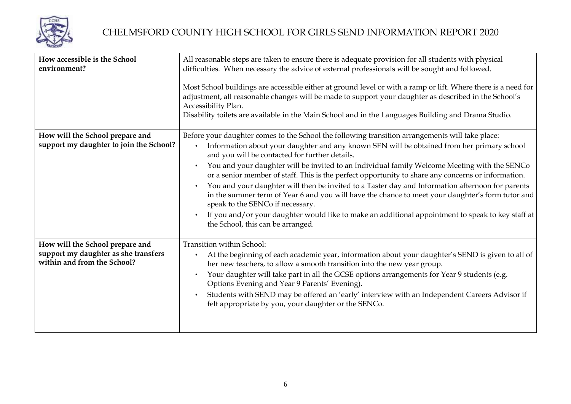

| How accessible is the School<br>environment?                                                           | All reasonable steps are taken to ensure there is adequate provision for all students with physical<br>difficulties. When necessary the advice of external professionals will be sought and followed.<br>Most School buildings are accessible either at ground level or with a ramp or lift. Where there is a need for<br>adjustment, all reasonable changes will be made to support your daughter as described in the School's<br>Accessibility Plan.<br>Disability toilets are available in the Main School and in the Languages Building and Drama Studio.                                                                                                                                                                                                                                                                               |
|--------------------------------------------------------------------------------------------------------|---------------------------------------------------------------------------------------------------------------------------------------------------------------------------------------------------------------------------------------------------------------------------------------------------------------------------------------------------------------------------------------------------------------------------------------------------------------------------------------------------------------------------------------------------------------------------------------------------------------------------------------------------------------------------------------------------------------------------------------------------------------------------------------------------------------------------------------------|
| How will the School prepare and<br>support my daughter to join the School?                             | Before your daughter comes to the School the following transition arrangements will take place:<br>Information about your daughter and any known SEN will be obtained from her primary school<br>and you will be contacted for further details.<br>You and your daughter will be invited to an Individual family Welcome Meeting with the SENCo<br>or a senior member of staff. This is the perfect opportunity to share any concerns or information.<br>You and your daughter will then be invited to a Taster day and Information afternoon for parents<br>in the summer term of Year 6 and you will have the chance to meet your daughter's form tutor and<br>speak to the SENCo if necessary.<br>If you and/or your daughter would like to make an additional appointment to speak to key staff at<br>the School, this can be arranged. |
| How will the School prepare and<br>support my daughter as she transfers<br>within and from the School? | Transition within School:<br>At the beginning of each academic year, information about your daughter's SEND is given to all of<br>her new teachers, to allow a smooth transition into the new year group.<br>Your daughter will take part in all the GCSE options arrangements for Year 9 students (e.g.<br>Options Evening and Year 9 Parents' Evening).<br>Students with SEND may be offered an 'early' interview with an Independent Careers Advisor if<br>felt appropriate by you, your daughter or the SENCo.                                                                                                                                                                                                                                                                                                                          |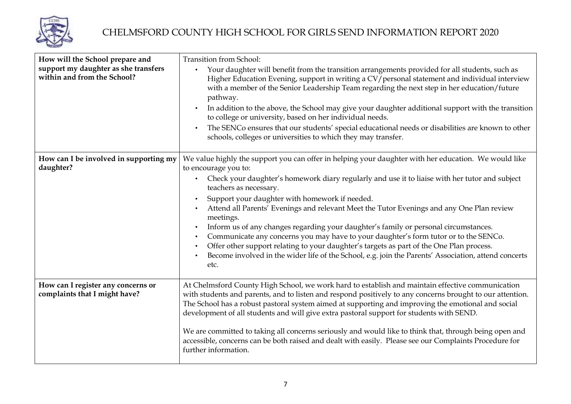

| How will the School prepare and<br>support my daughter as she transfers<br>within and from the School? | <b>Transition from School:</b><br>Your daughter will benefit from the transition arrangements provided for all students, such as<br>Higher Education Evening, support in writing a CV/personal statement and individual interview<br>with a member of the Senior Leadership Team regarding the next step in her education/future<br>pathway.<br>In addition to the above, the School may give your daughter additional support with the transition<br>to college or university, based on her individual needs.<br>The SENCo ensures that our students' special educational needs or disabilities are known to other<br>schools, colleges or universities to which they may transfer.                                                                                                                             |
|--------------------------------------------------------------------------------------------------------|------------------------------------------------------------------------------------------------------------------------------------------------------------------------------------------------------------------------------------------------------------------------------------------------------------------------------------------------------------------------------------------------------------------------------------------------------------------------------------------------------------------------------------------------------------------------------------------------------------------------------------------------------------------------------------------------------------------------------------------------------------------------------------------------------------------|
| How can I be involved in supporting my<br>daughter?                                                    | We value highly the support you can offer in helping your daughter with her education. We would like<br>to encourage you to:<br>Check your daughter's homework diary regularly and use it to liaise with her tutor and subject<br>teachers as necessary.<br>Support your daughter with homework if needed.<br>Attend all Parents' Evenings and relevant Meet the Tutor Evenings and any One Plan review<br>meetings.<br>Inform us of any changes regarding your daughter's family or personal circumstances.<br>Communicate any concerns you may have to your daughter's form tutor or to the SENCo.<br>Offer other support relating to your daughter's targets as part of the One Plan process.<br>Become involved in the wider life of the School, e.g. join the Parents' Association, attend concerts<br>etc. |
| How can I register any concerns or<br>complaints that I might have?                                    | At Chelmsford County High School, we work hard to establish and maintain effective communication<br>with students and parents, and to listen and respond positively to any concerns brought to our attention.<br>The School has a robust pastoral system aimed at supporting and improving the emotional and social<br>development of all students and will give extra pastoral support for students with SEND.<br>We are committed to taking all concerns seriously and would like to think that, through being open and<br>accessible, concerns can be both raised and dealt with easily. Please see our Complaints Procedure for<br>further information.                                                                                                                                                      |